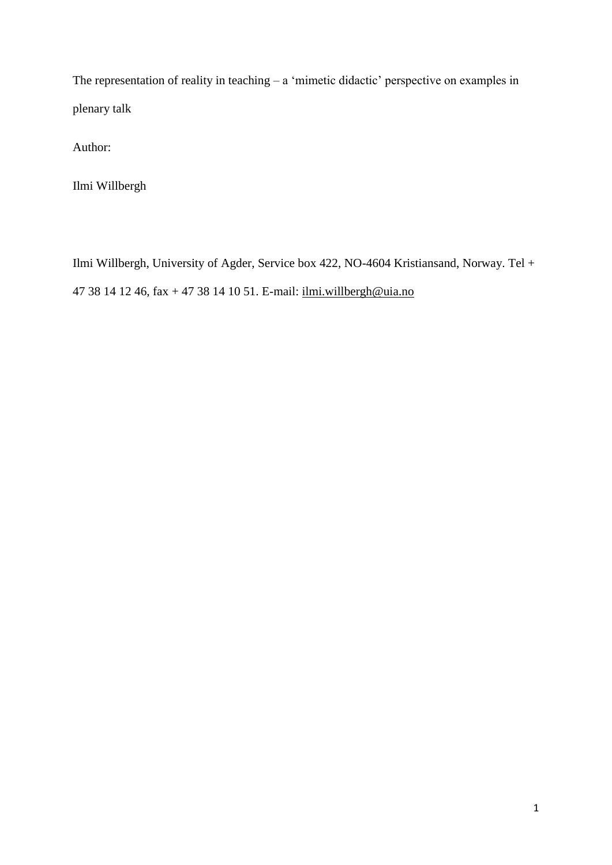The representation of reality in teaching – a 'mimetic didactic' perspective on examples in plenary talk

Author:

Ilmi Willbergh

Ilmi Willbergh, University of Agder, Service box 422, NO-4604 Kristiansand, Norway. Tel + 47 38 14 12 46, fax + 47 38 14 10 51. E-mail: [ilmi.willbergh@uia.no](mailto:ilmi.willbergh@uia.no)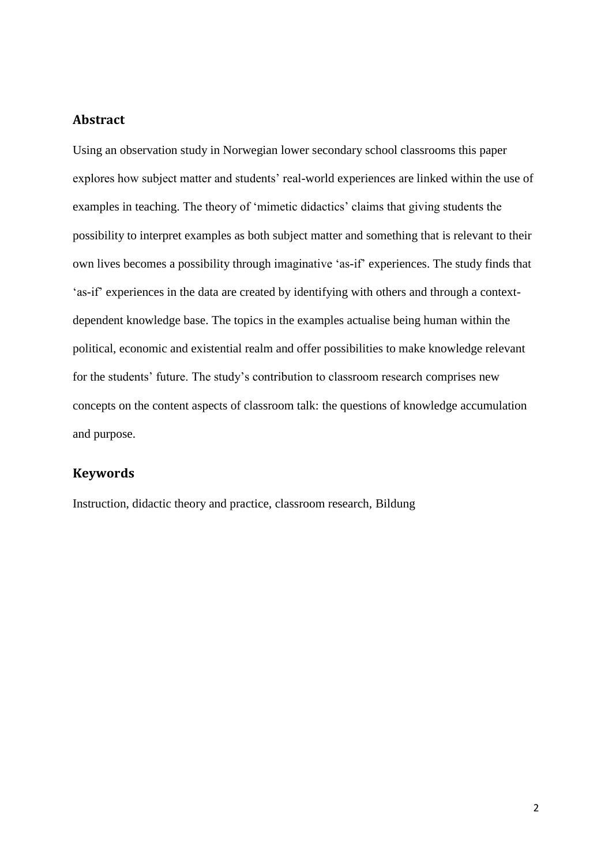# **Abstract**

Using an observation study in Norwegian lower secondary school classrooms this paper explores how subject matter and students' real-world experiences are linked within the use of examples in teaching. The theory of 'mimetic didactics' claims that giving students the possibility to interpret examples as both subject matter and something that is relevant to their own lives becomes a possibility through imaginative 'as-if' experiences. The study finds that 'as-if' experiences in the data are created by identifying with others and through a contextdependent knowledge base. The topics in the examples actualise being human within the political, economic and existential realm and offer possibilities to make knowledge relevant for the students' future. The study's contribution to classroom research comprises new concepts on the content aspects of classroom talk: the questions of knowledge accumulation and purpose.

## **Keywords**

Instruction, didactic theory and practice, classroom research, Bildung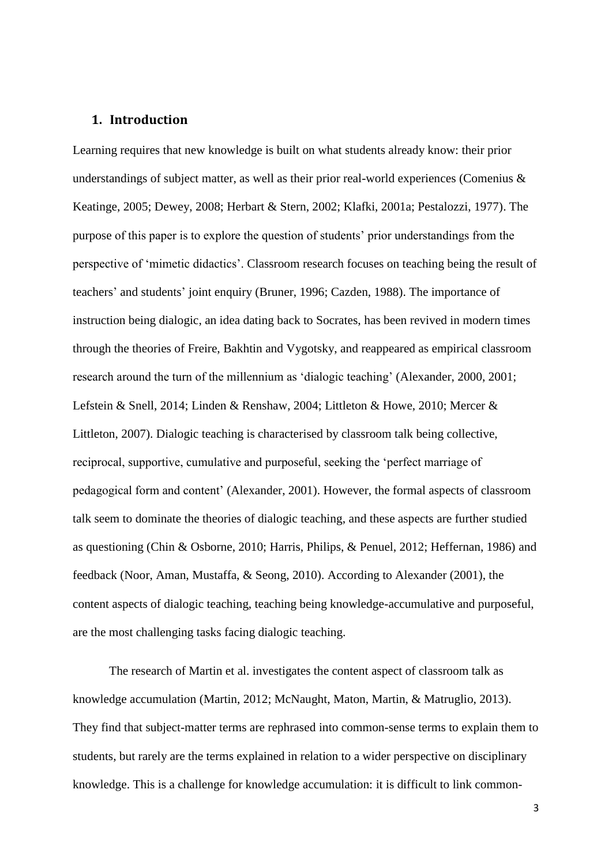# **1. Introduction**

Learning requires that new knowledge is built on what students already know: their prior understandings of subject matter, as well as their prior real-world experiences (Comenius & Keatinge, 2005; Dewey, 2008; Herbart & Stern, 2002; Klafki, 2001a; Pestalozzi, 1977). The purpose of this paper is to explore the question of students' prior understandings from the perspective of 'mimetic didactics'. Classroom research focuses on teaching being the result of teachers' and students' joint enquiry (Bruner, 1996; Cazden, 1988). The importance of instruction being dialogic, an idea dating back to Socrates, has been revived in modern times through the theories of Freire, Bakhtin and Vygotsky, and reappeared as empirical classroom research around the turn of the millennium as 'dialogic teaching' (Alexander, 2000, 2001; Lefstein & Snell, 2014; Linden & Renshaw, 2004; Littleton & Howe, 2010; Mercer & Littleton, 2007). Dialogic teaching is characterised by classroom talk being collective, reciprocal, supportive, cumulative and purposeful, seeking the 'perfect marriage of pedagogical form and content' (Alexander, 2001). However, the formal aspects of classroom talk seem to dominate the theories of dialogic teaching, and these aspects are further studied as questioning (Chin & Osborne, 2010; Harris, Philips, & Penuel, 2012; Heffernan, 1986) and feedback (Noor, Aman, Mustaffa, & Seong, 2010). According to Alexander (2001), the content aspects of dialogic teaching, teaching being knowledge-accumulative and purposeful, are the most challenging tasks facing dialogic teaching.

The research of Martin et al. investigates the content aspect of classroom talk as knowledge accumulation (Martin, 2012; McNaught, Maton, Martin, & Matruglio, 2013). They find that subject-matter terms are rephrased into common-sense terms to explain them to students, but rarely are the terms explained in relation to a wider perspective on disciplinary knowledge. This is a challenge for knowledge accumulation: it is difficult to link common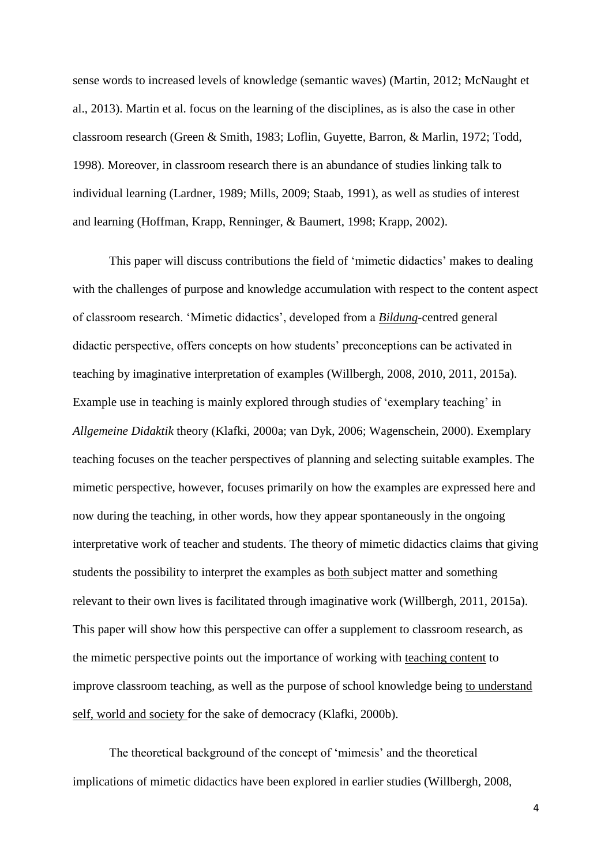sense words to increased levels of knowledge (semantic waves) (Martin, 2012; McNaught et al., 2013). Martin et al. focus on the learning of the disciplines, as is also the case in other classroom research (Green & Smith, 1983; Loflin, Guyette, Barron, & Marlin, 1972; Todd, 1998). Moreover, in classroom research there is an abundance of studies linking talk to individual learning (Lardner, 1989; Mills, 2009; Staab, 1991), as well as studies of interest and learning (Hoffman, Krapp, Renninger, & Baumert, 1998; Krapp, 2002).

This paper will discuss contributions the field of 'mimetic didactics' makes to dealing with the challenges of purpose and knowledge accumulation with respect to the content aspect of classroom research. 'Mimetic didactics', developed from a *Bildung*-centred general didactic perspective, offers concepts on how students' preconceptions can be activated in teaching by imaginative interpretation of examples (Willbergh, 2008, 2010, 2011, 2015a). Example use in teaching is mainly explored through studies of 'exemplary teaching' in *Allgemeine Didaktik* theory (Klafki, 2000a; van Dyk, 2006; Wagenschein, 2000). Exemplary teaching focuses on the teacher perspectives of planning and selecting suitable examples. The mimetic perspective, however, focuses primarily on how the examples are expressed here and now during the teaching, in other words, how they appear spontaneously in the ongoing interpretative work of teacher and students. The theory of mimetic didactics claims that giving students the possibility to interpret the examples as both subject matter and something relevant to their own lives is facilitated through imaginative work (Willbergh, 2011, 2015a). This paper will show how this perspective can offer a supplement to classroom research, as the mimetic perspective points out the importance of working with teaching content to improve classroom teaching, as well as the purpose of school knowledge being to understand self, world and society for the sake of democracy (Klafki, 2000b).

The theoretical background of the concept of 'mimesis' and the theoretical implications of mimetic didactics have been explored in earlier studies (Willbergh, 2008,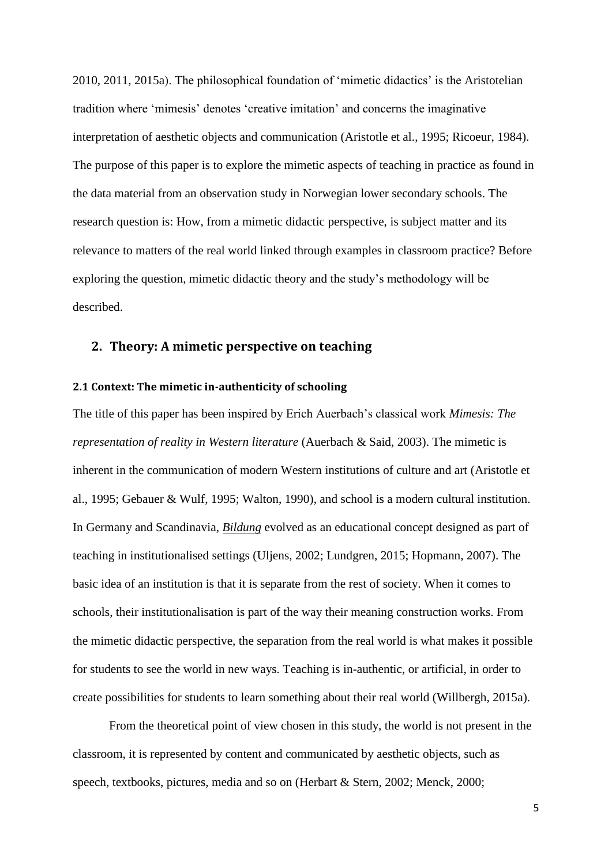2010, 2011, 2015a). The philosophical foundation of 'mimetic didactics' is the Aristotelian tradition where 'mimesis' denotes 'creative imitation' and concerns the imaginative interpretation of aesthetic objects and communication (Aristotle et al., 1995; Ricoeur, 1984). The purpose of this paper is to explore the mimetic aspects of teaching in practice as found in the data material from an observation study in Norwegian lower secondary schools. The research question is: How, from a mimetic didactic perspective, is subject matter and its relevance to matters of the real world linked through examples in classroom practice? Before exploring the question, mimetic didactic theory and the study's methodology will be described.

# **2. Theory: A mimetic perspective on teaching**

#### **2.1 Context: The mimetic in-authenticity of schooling**

The title of this paper has been inspired by Erich Auerbach's classical work *Mimesis: The representation of reality in Western literature* (Auerbach & Said, 2003). The mimetic is inherent in the communication of modern Western institutions of culture and art (Aristotle et al., 1995; Gebauer & Wulf, 1995; Walton, 1990), and school is a modern cultural institution. In Germany and Scandinavia, *Bildung* evolved as an educational concept designed as part of teaching in institutionalised settings (Uljens, 2002; Lundgren, 2015; Hopmann, 2007). The basic idea of an institution is that it is separate from the rest of society. When it comes to schools, their institutionalisation is part of the way their meaning construction works. From the mimetic didactic perspective, the separation from the real world is what makes it possible for students to see the world in new ways. Teaching is in-authentic, or artificial, in order to create possibilities for students to learn something about their real world (Willbergh, 2015a).

From the theoretical point of view chosen in this study, the world is not present in the classroom, it is represented by content and communicated by aesthetic objects, such as speech, textbooks, pictures, media and so on (Herbart & Stern, 2002; Menck, 2000;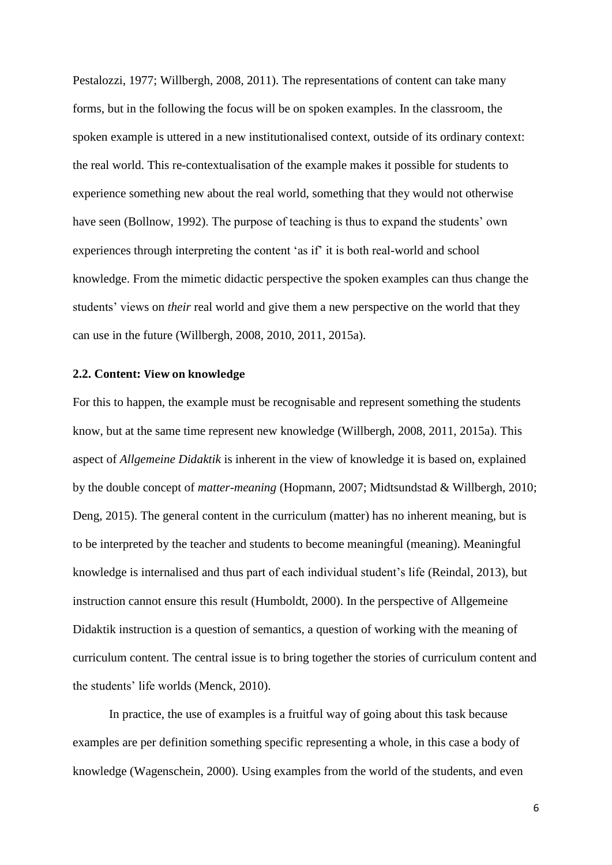Pestalozzi, 1977; Willbergh, 2008, 2011). The representations of content can take many forms, but in the following the focus will be on spoken examples. In the classroom, the spoken example is uttered in a new institutionalised context, outside of its ordinary context: the real world. This re-contextualisation of the example makes it possible for students to experience something new about the real world, something that they would not otherwise have seen (Bollnow, 1992). The purpose of teaching is thus to expand the students' own experiences through interpreting the content 'as if' it is both real-world and school knowledge. From the mimetic didactic perspective the spoken examples can thus change the students' views on *their* real world and give them a new perspective on the world that they can use in the future (Willbergh, 2008, 2010, 2011, 2015a).

#### **2.2. Content: View on knowledge**

For this to happen, the example must be recognisable and represent something the students know, but at the same time represent new knowledge (Willbergh, 2008, 2011, 2015a). This aspect of *Allgemeine Didaktik* is inherent in the view of knowledge it is based on, explained by the double concept of *matter-meaning* (Hopmann, 2007; Midtsundstad & Willbergh, 2010; Deng, 2015). The general content in the curriculum (matter) has no inherent meaning, but is to be interpreted by the teacher and students to become meaningful (meaning). Meaningful knowledge is internalised and thus part of each individual student's life (Reindal, 2013), but instruction cannot ensure this result (Humboldt, 2000). In the perspective of Allgemeine Didaktik instruction is a question of semantics, a question of working with the meaning of curriculum content. The central issue is to bring together the stories of curriculum content and the students' life worlds (Menck, 2010).

In practice, the use of examples is a fruitful way of going about this task because examples are per definition something specific representing a whole, in this case a body of knowledge (Wagenschein, 2000). Using examples from the world of the students, and even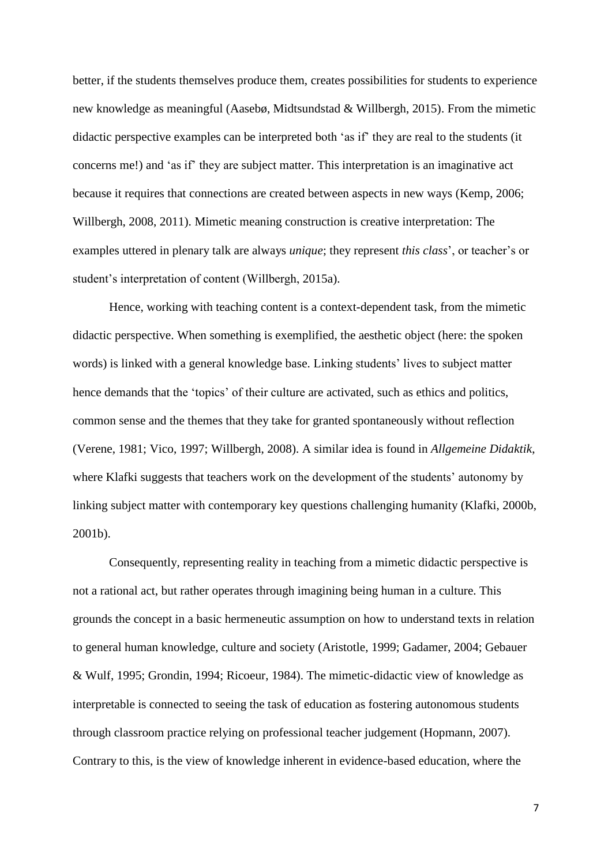better, if the students themselves produce them, creates possibilities for students to experience new knowledge as meaningful (Aasebø, Midtsundstad & Willbergh, 2015). From the mimetic didactic perspective examples can be interpreted both 'as if' they are real to the students (it concerns me!) and 'as if' they are subject matter. This interpretation is an imaginative act because it requires that connections are created between aspects in new ways (Kemp, 2006; Willbergh, 2008, 2011). Mimetic meaning construction is creative interpretation: The examples uttered in plenary talk are always *unique*; they represent *this class*', or teacher's or student's interpretation of content (Willbergh, 2015a).

Hence, working with teaching content is a context-dependent task, from the mimetic didactic perspective. When something is exemplified, the aesthetic object (here: the spoken words) is linked with a general knowledge base. Linking students' lives to subject matter hence demands that the 'topics' of their culture are activated, such as ethics and politics, common sense and the themes that they take for granted spontaneously without reflection (Verene, 1981; Vico, 1997; Willbergh, 2008). A similar idea is found in *Allgemeine Didaktik*, where Klafki suggests that teachers work on the development of the students' autonomy by linking subject matter with contemporary key questions challenging humanity (Klafki, 2000b, 2001b).

Consequently, representing reality in teaching from a mimetic didactic perspective is not a rational act, but rather operates through imagining being human in a culture. This grounds the concept in a basic hermeneutic assumption on how to understand texts in relation to general human knowledge, culture and society (Aristotle, 1999; Gadamer, 2004; Gebauer & Wulf, 1995; Grondin, 1994; Ricoeur, 1984). The mimetic-didactic view of knowledge as interpretable is connected to seeing the task of education as fostering autonomous students through classroom practice relying on professional teacher judgement (Hopmann, 2007). Contrary to this, is the view of knowledge inherent in evidence-based education, where the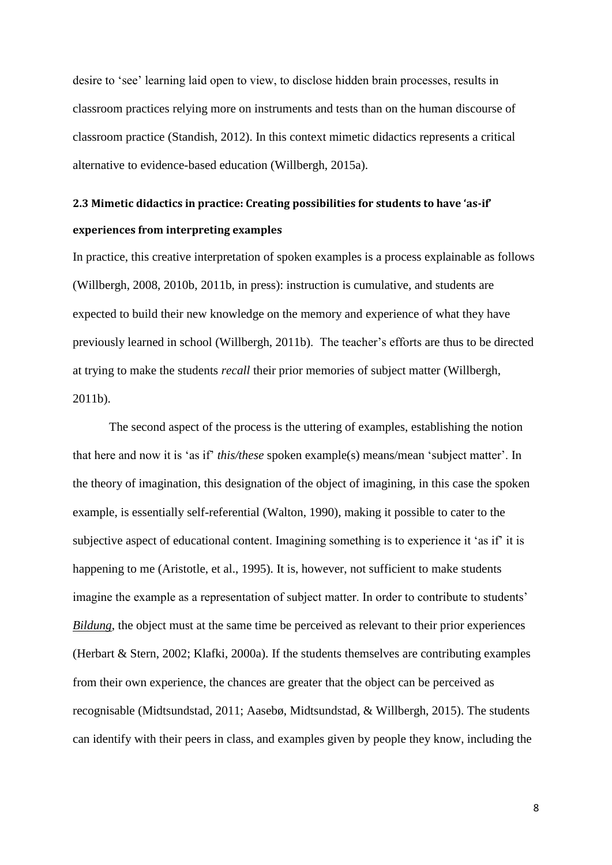desire to 'see' learning laid open to view, to disclose hidden brain processes, results in classroom practices relying more on instruments and tests than on the human discourse of classroom practice (Standish, 2012). In this context mimetic didactics represents a critical alternative to evidence-based education (Willbergh, 2015a).

# **2.3 Mimetic didactics in practice: Creating possibilities for students to have 'as-if' experiences from interpreting examples**

In practice, this creative interpretation of spoken examples is a process explainable as follows (Willbergh, 2008, 2010b, 2011b, in press): instruction is cumulative, and students are expected to build their new knowledge on the memory and experience of what they have previously learned in school (Willbergh, 2011b). The teacher's efforts are thus to be directed at trying to make the students *recall* their prior memories of subject matter (Willbergh, 2011b).

The second aspect of the process is the uttering of examples, establishing the notion that here and now it is 'as if' *this/these* spoken example(s) means/mean 'subject matter'. In the theory of imagination, this designation of the object of imagining, in this case the spoken example, is essentially self-referential (Walton, 1990), making it possible to cater to the subjective aspect of educational content. Imagining something is to experience it 'as if' it is happening to me (Aristotle, et al., 1995). It is, however, not sufficient to make students imagine the example as a representation of subject matter. In order to contribute to students' *Bildung*, the object must at the same time be perceived as relevant to their prior experiences (Herbart & Stern, 2002; Klafki, 2000a). If the students themselves are contributing examples from their own experience, the chances are greater that the object can be perceived as recognisable (Midtsundstad, 2011; Aasebø, Midtsundstad, & Willbergh, 2015). The students can identify with their peers in class, and examples given by people they know, including the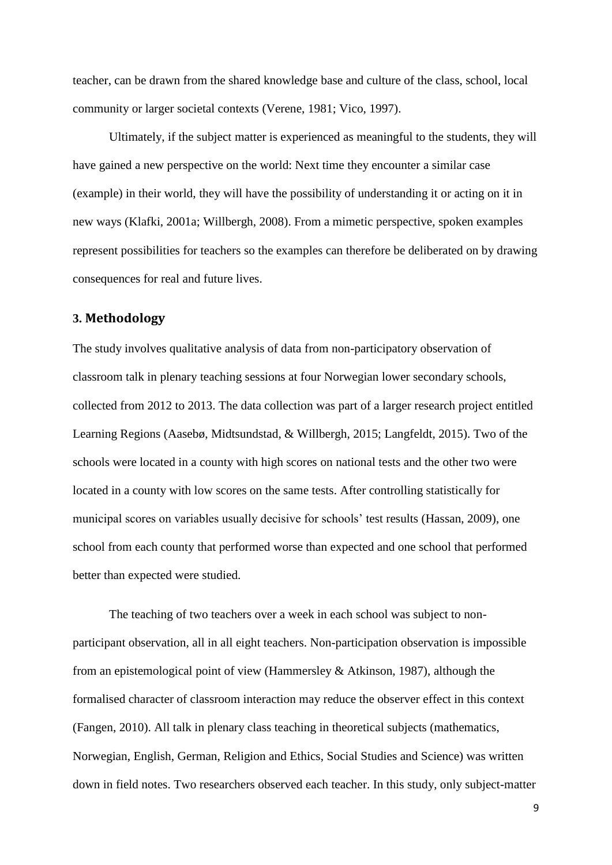teacher, can be drawn from the shared knowledge base and culture of the class, school, local community or larger societal contexts [\(Verene, 1981;](#page-26-0) [Vico, 1997\)](#page-26-1).

Ultimately, if the subject matter is experienced as meaningful to the students, they will have gained a new perspective on the world: Next time they encounter a similar case (example) in their world, they will have the possibility of understanding it or acting on it in new ways (Klafki, 2001a; Willbergh, 2008). From a mimetic perspective, spoken examples represent possibilities for teachers so the examples can therefore be deliberated on by drawing consequences for real and future lives.

#### **3. Methodology**

The study involves qualitative analysis of data from non-participatory observation of classroom talk in plenary teaching sessions at four Norwegian lower secondary schools, collected from 2012 to 2013. The data collection was part of a larger research project entitled Learning Regions (Aasebø, Midtsundstad, & Willbergh, 2015; Langfeldt, 2015). Two of the schools were located in a county with high scores on national tests and the other two were located in a county with low scores on the same tests. After controlling statistically for municipal scores on variables usually decisive for schools' test results (Hassan, 2009), one school from each county that performed worse than expected and one school that performed better than expected were studied.

The teaching of two teachers over a week in each school was subject to nonparticipant observation, all in all eight teachers. Non-participation observation is impossible from an epistemological point of view (Hammersley & Atkinson, 1987), although the formalised character of classroom interaction may reduce the observer effect in this context (Fangen, 2010). All talk in plenary class teaching in theoretical subjects (mathematics, Norwegian, English, German, Religion and Ethics, Social Studies and Science) was written down in field notes. Two researchers observed each teacher. In this study, only subject-matter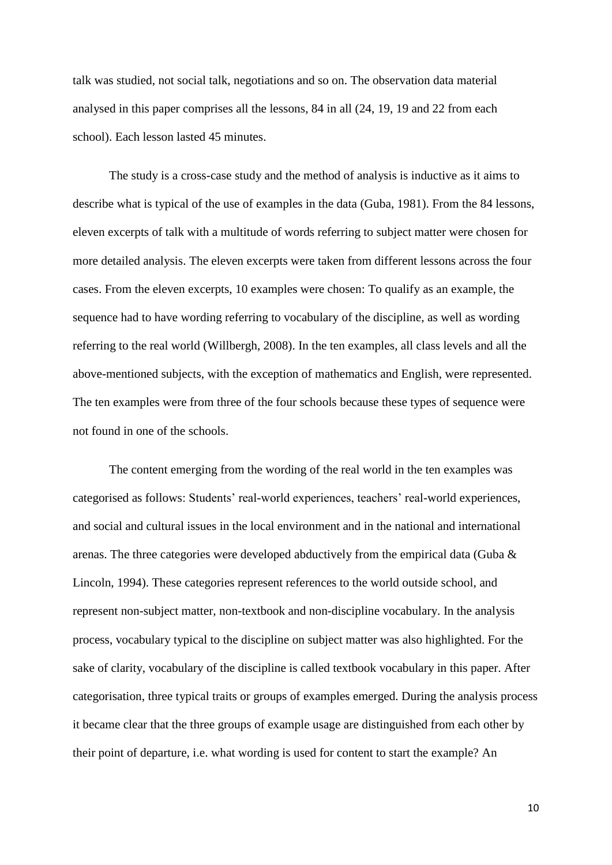talk was studied, not social talk, negotiations and so on. The observation data material analysed in this paper comprises all the lessons, 84 in all (24, 19, 19 and 22 from each school). Each lesson lasted 45 minutes.

The study is a cross-case study and the method of analysis is inductive as it aims to describe what is typical of the use of examples in the data (Guba, 1981). From the 84 lessons, eleven excerpts of talk with a multitude of words referring to subject matter were chosen for more detailed analysis. The eleven excerpts were taken from different lessons across the four cases. From the eleven excerpts, 10 examples were chosen: To qualify as an example, the sequence had to have wording referring to vocabulary of the discipline, as well as wording referring to the real world (Willbergh, 2008). In the ten examples, all class levels and all the above-mentioned subjects, with the exception of mathematics and English, were represented. The ten examples were from three of the four schools because these types of sequence were not found in one of the schools.

The content emerging from the wording of the real world in the ten examples was categorised as follows: Students' real-world experiences, teachers' real-world experiences, and social and cultural issues in the local environment and in the national and international arenas. The three categories were developed abductively from the empirical data (Guba & Lincoln, 1994). These categories represent references to the world outside school, and represent non-subject matter, non-textbook and non-discipline vocabulary. In the analysis process, vocabulary typical to the discipline on subject matter was also highlighted. For the sake of clarity, vocabulary of the discipline is called textbook vocabulary in this paper. After categorisation, three typical traits or groups of examples emerged. During the analysis process it became clear that the three groups of example usage are distinguished from each other by their point of departure, i.e. what wording is used for content to start the example? An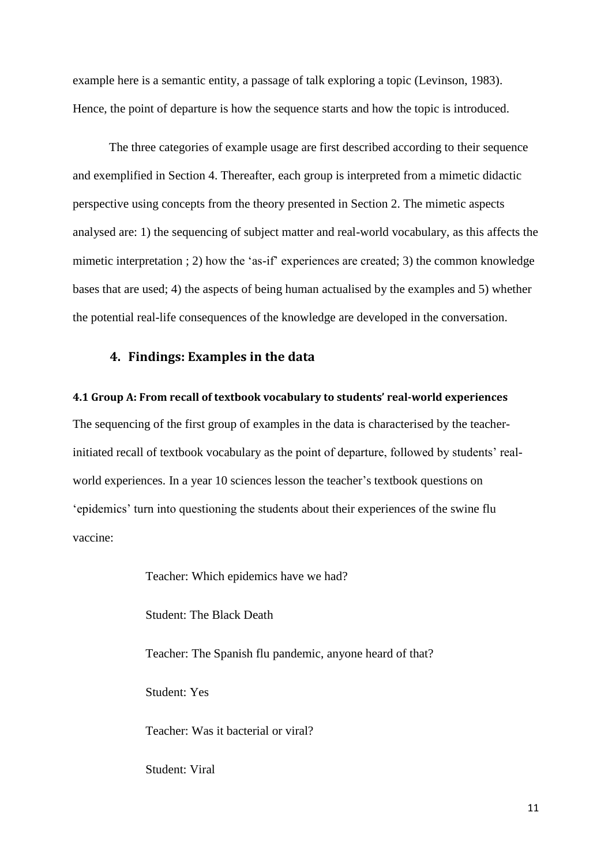example here is a semantic entity, a passage of talk exploring a topic (Levinson, 1983). Hence, the point of departure is how the sequence starts and how the topic is introduced.

The three categories of example usage are first described according to their sequence and exemplified in Section 4. Thereafter, each group is interpreted from a mimetic didactic perspective using concepts from the theory presented in Section 2. The mimetic aspects analysed are: 1) the sequencing of subject matter and real-world vocabulary, as this affects the mimetic interpretation ; 2) how the 'as-if' experiences are created; 3) the common knowledge bases that are used; 4) the aspects of being human actualised by the examples and 5) whether the potential real-life consequences of the knowledge are developed in the conversation.

# **4. Findings: Examples in the data**

#### **4.1 Group A: From recall of textbook vocabulary to students' real-world experiences**

The sequencing of the first group of examples in the data is characterised by the teacherinitiated recall of textbook vocabulary as the point of departure, followed by students' realworld experiences. In a year 10 sciences lesson the teacher's textbook questions on 'epidemics' turn into questioning the students about their experiences of the swine flu vaccine:

> Teacher: Which epidemics have we had? Student: The Black Death Teacher: The Spanish flu pandemic, anyone heard of that? Student: Yes Teacher: Was it bacterial or viral?

Student: Viral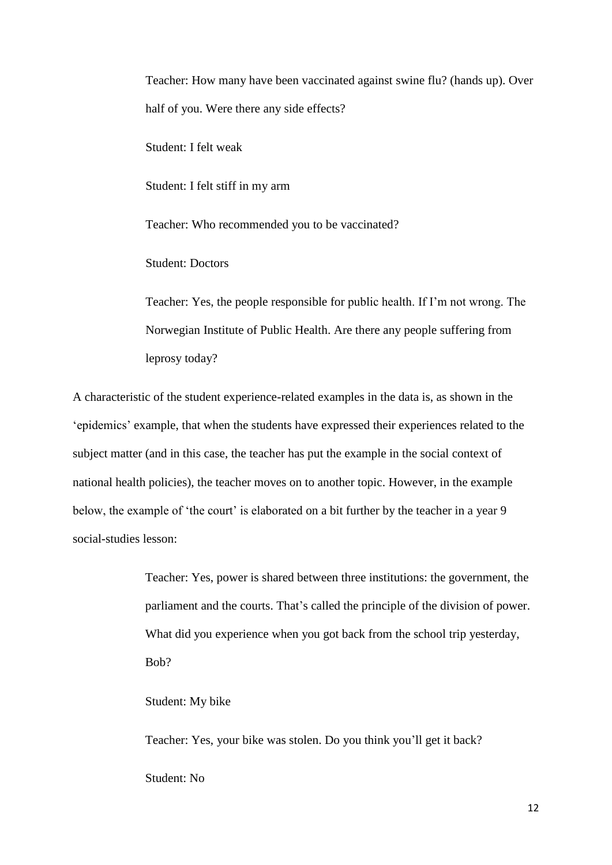Teacher: How many have been vaccinated against swine flu? (hands up). Over half of you. Were there any side effects?

Student: I felt weak

Student: I felt stiff in my arm

Teacher: Who recommended you to be vaccinated?

Student: Doctors

Teacher: Yes, the people responsible for public health. If I'm not wrong. The Norwegian Institute of Public Health. Are there any people suffering from leprosy today?

A characteristic of the student experience-related examples in the data is, as shown in the 'epidemics' example, that when the students have expressed their experiences related to the subject matter (and in this case, the teacher has put the example in the social context of national health policies), the teacher moves on to another topic. However, in the example below, the example of 'the court' is elaborated on a bit further by the teacher in a year 9 social-studies lesson:

> Teacher: Yes, power is shared between three institutions: the government, the parliament and the courts. That's called the principle of the division of power. What did you experience when you got back from the school trip yesterday, Bob?

Student: My bike

Teacher: Yes, your bike was stolen. Do you think you'll get it back? Student: No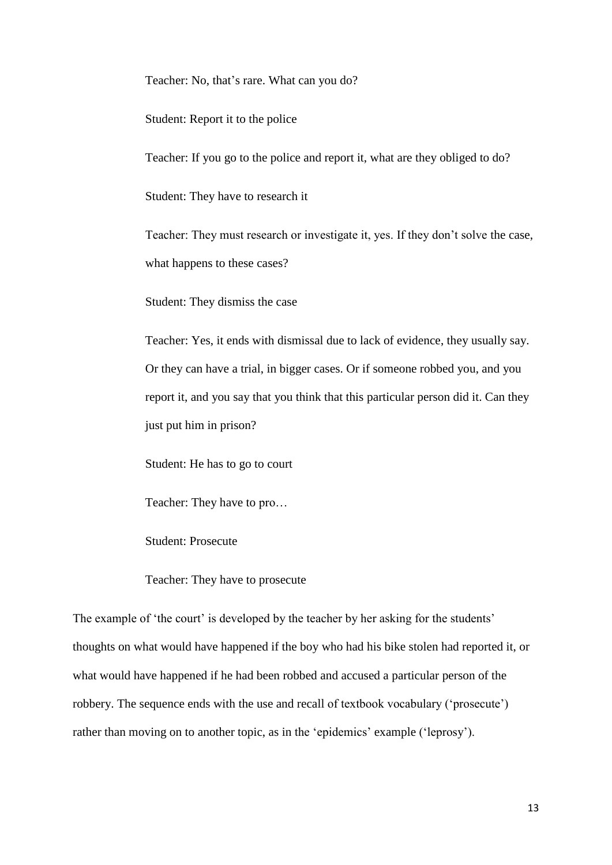Teacher: No, that's rare. What can you do?

Student: Report it to the police

Teacher: If you go to the police and report it, what are they obliged to do?

Student: They have to research it

Teacher: They must research or investigate it, yes. If they don't solve the case, what happens to these cases?

Student: They dismiss the case

Teacher: Yes, it ends with dismissal due to lack of evidence, they usually say. Or they can have a trial, in bigger cases. Or if someone robbed you, and you report it, and you say that you think that this particular person did it. Can they just put him in prison?

Student: He has to go to court

Teacher: They have to pro…

Student: Prosecute

Teacher: They have to prosecute

The example of 'the court' is developed by the teacher by her asking for the students' thoughts on what would have happened if the boy who had his bike stolen had reported it, or what would have happened if he had been robbed and accused a particular person of the robbery. The sequence ends with the use and recall of textbook vocabulary ('prosecute') rather than moving on to another topic, as in the 'epidemics' example ('leprosy').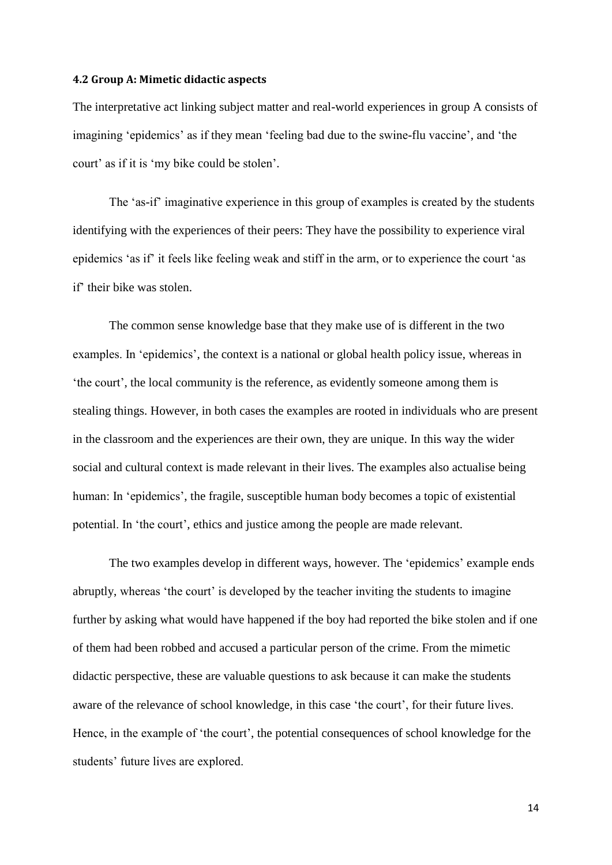#### **4.2 Group A: Mimetic didactic aspects**

The interpretative act linking subject matter and real-world experiences in group A consists of imagining 'epidemics' as if they mean 'feeling bad due to the swine-flu vaccine', and 'the court' as if it is 'my bike could be stolen'.

The 'as-if' imaginative experience in this group of examples is created by the students identifying with the experiences of their peers: They have the possibility to experience viral epidemics 'as if' it feels like feeling weak and stiff in the arm, or to experience the court 'as if' their bike was stolen.

The common sense knowledge base that they make use of is different in the two examples. In 'epidemics', the context is a national or global health policy issue, whereas in 'the court', the local community is the reference, as evidently someone among them is stealing things. However, in both cases the examples are rooted in individuals who are present in the classroom and the experiences are their own, they are unique. In this way the wider social and cultural context is made relevant in their lives. The examples also actualise being human: In 'epidemics', the fragile, susceptible human body becomes a topic of existential potential. In 'the court', ethics and justice among the people are made relevant.

The two examples develop in different ways, however. The 'epidemics' example ends abruptly, whereas 'the court' is developed by the teacher inviting the students to imagine further by asking what would have happened if the boy had reported the bike stolen and if one of them had been robbed and accused a particular person of the crime. From the mimetic didactic perspective, these are valuable questions to ask because it can make the students aware of the relevance of school knowledge, in this case 'the court', for their future lives. Hence, in the example of 'the court', the potential consequences of school knowledge for the students' future lives are explored.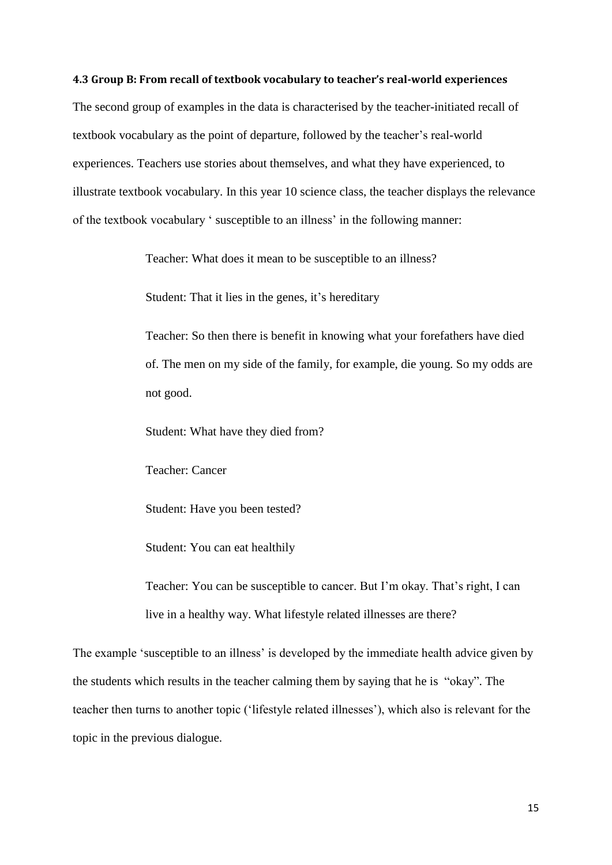### **4.3 Group B: From recall of textbook vocabulary to teacher's real-world experiences**

The second group of examples in the data is characterised by the teacher-initiated recall of textbook vocabulary as the point of departure, followed by the teacher's real-world experiences. Teachers use stories about themselves, and what they have experienced, to illustrate textbook vocabulary. In this year 10 science class, the teacher displays the relevance of the textbook vocabulary ' susceptible to an illness' in the following manner:

Teacher: What does it mean to be susceptible to an illness?

Student: That it lies in the genes, it's hereditary

Teacher: So then there is benefit in knowing what your forefathers have died of. The men on my side of the family, for example, die young. So my odds are not good.

Student: What have they died from?

Teacher: Cancer

Student: Have you been tested?

Student: You can eat healthily

Teacher: You can be susceptible to cancer. But I'm okay. That's right, I can live in a healthy way. What lifestyle related illnesses are there?

The example 'susceptible to an illness' is developed by the immediate health advice given by the students which results in the teacher calming them by saying that he is "okay". The teacher then turns to another topic ('lifestyle related illnesses'), which also is relevant for the topic in the previous dialogue.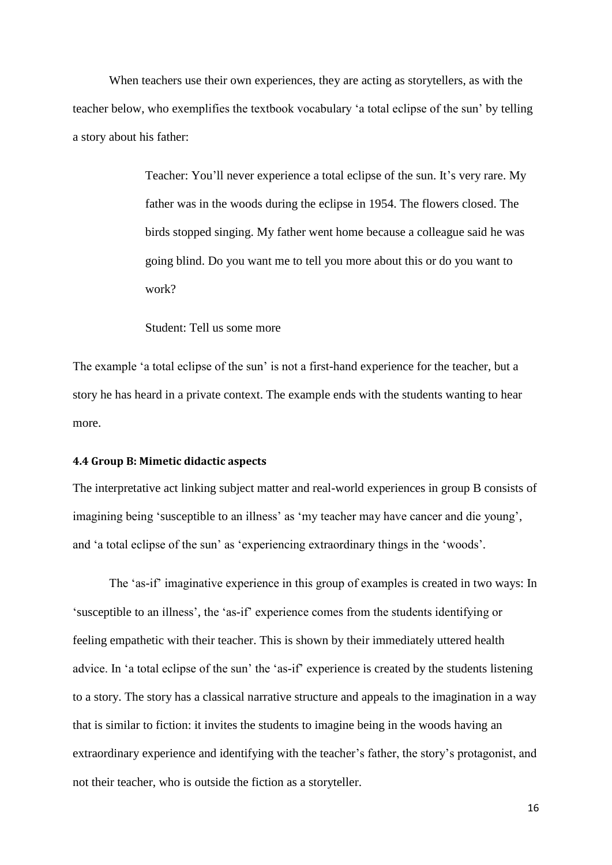When teachers use their own experiences, they are acting as storytellers, as with the teacher below, who exemplifies the textbook vocabulary 'a total eclipse of the sun' by telling a story about his father:

> Teacher: You'll never experience a total eclipse of the sun. It's very rare. My father was in the woods during the eclipse in 1954. The flowers closed. The birds stopped singing. My father went home because a colleague said he was going blind. Do you want me to tell you more about this or do you want to work?

Student: Tell us some more

The example 'a total eclipse of the sun' is not a first-hand experience for the teacher, but a story he has heard in a private context. The example ends with the students wanting to hear more.

#### **4.4 Group B: Mimetic didactic aspects**

The interpretative act linking subject matter and real-world experiences in group B consists of imagining being 'susceptible to an illness' as 'my teacher may have cancer and die young', and 'a total eclipse of the sun' as 'experiencing extraordinary things in the 'woods'.

The 'as-if' imaginative experience in this group of examples is created in two ways: In 'susceptible to an illness', the 'as-if' experience comes from the students identifying or feeling empathetic with their teacher. This is shown by their immediately uttered health advice. In 'a total eclipse of the sun' the 'as-if' experience is created by the students listening to a story. The story has a classical narrative structure and appeals to the imagination in a way that is similar to fiction: it invites the students to imagine being in the woods having an extraordinary experience and identifying with the teacher's father, the story's protagonist, and not their teacher, who is outside the fiction as a storyteller.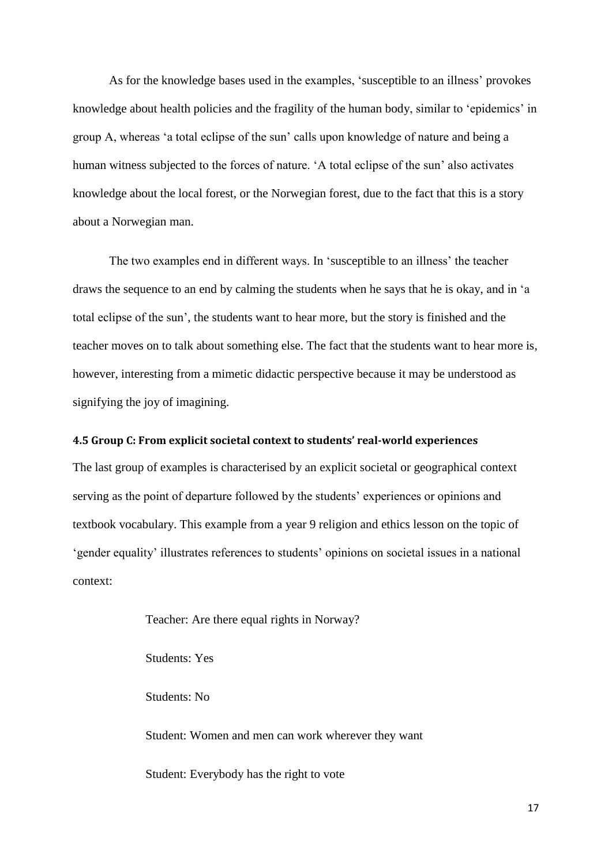As for the knowledge bases used in the examples, 'susceptible to an illness' provokes knowledge about health policies and the fragility of the human body, similar to 'epidemics' in group A, whereas 'a total eclipse of the sun' calls upon knowledge of nature and being a human witness subjected to the forces of nature. 'A total eclipse of the sun' also activates knowledge about the local forest, or the Norwegian forest, due to the fact that this is a story about a Norwegian man.

The two examples end in different ways. In 'susceptible to an illness' the teacher draws the sequence to an end by calming the students when he says that he is okay, and in 'a total eclipse of the sun', the students want to hear more, but the story is finished and the teacher moves on to talk about something else. The fact that the students want to hear more is, however, interesting from a mimetic didactic perspective because it may be understood as signifying the joy of imagining.

#### **4.5 Group C: From explicit societal context to students' real-world experiences**

The last group of examples is characterised by an explicit societal or geographical context serving as the point of departure followed by the students' experiences or opinions and textbook vocabulary. This example from a year 9 religion and ethics lesson on the topic of 'gender equality' illustrates references to students' opinions on societal issues in a national context:

Teacher: Are there equal rights in Norway?

Students: Yes

Students: No

Student: Women and men can work wherever they want

Student: Everybody has the right to vote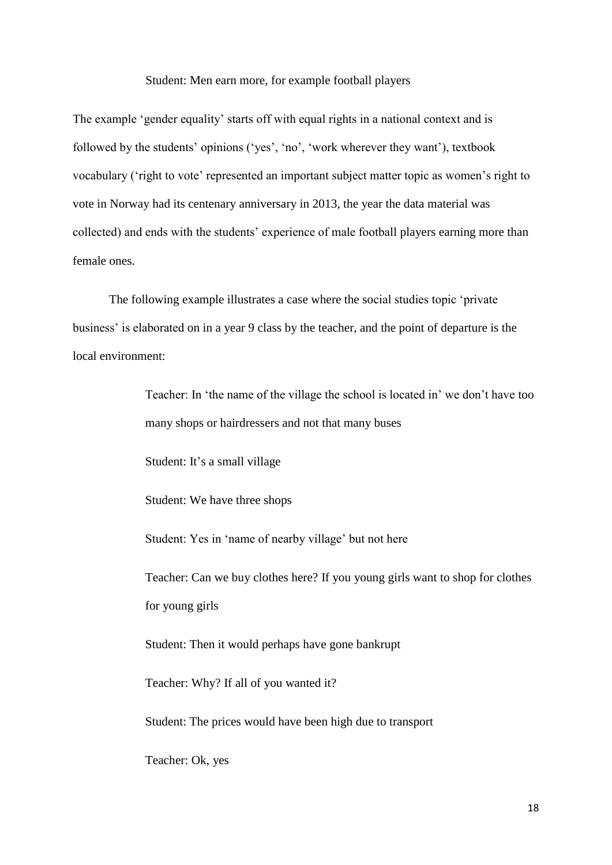#### Student: Men earn more, for example football players

The example 'gender equality' starts off with equal rights in a national context and is followed by the students' opinions ('yes', 'no', 'work wherever they want'), textbook vocabulary ('right to vote' represented an important subject matter topic as women's right to vote in Norway had its centenary anniversary in 2013, the year the data material was collected) and ends with the students' experience of male football players earning more than female ones.

The following example illustrates a case where the social studies topic 'private business' is elaborated on in a year 9 class by the teacher, and the point of departure is the local environment:

> Teacher: In 'the name of the village the school is located in' we don't have too many shops or hairdressers and not that many buses

Student: It's a small village

Student: We have three shops

Student: Yes in 'name of nearby village' but not here

Teacher: Can we buy clothes here? If you young girls want to shop for clothes for young girls

Student: Then it would perhaps have gone bankrupt

Teacher: Why? If all of you wanted it?

Student: The prices would have been high due to transport

Teacher: Ok, yes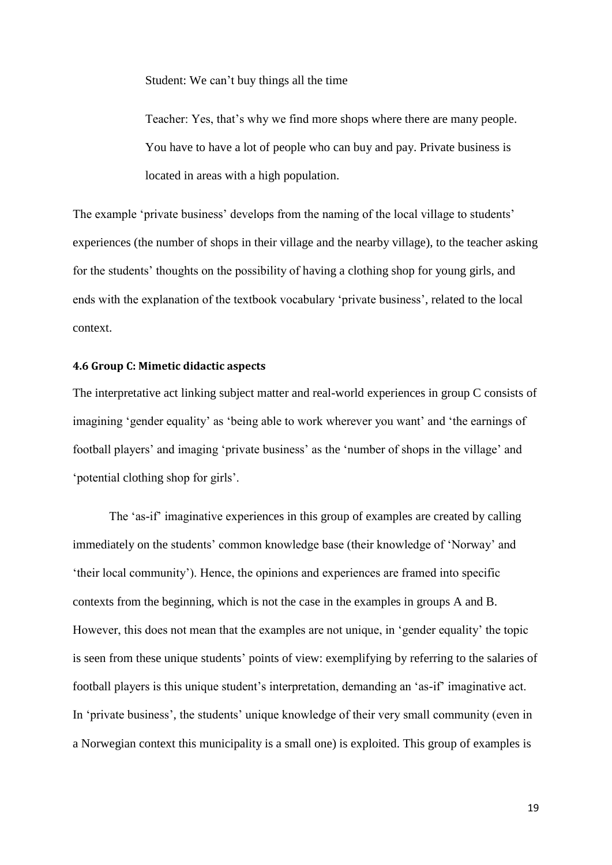Student: We can't buy things all the time

Teacher: Yes, that's why we find more shops where there are many people. You have to have a lot of people who can buy and pay. Private business is located in areas with a high population.

The example 'private business' develops from the naming of the local village to students' experiences (the number of shops in their village and the nearby village), to the teacher asking for the students' thoughts on the possibility of having a clothing shop for young girls, and ends with the explanation of the textbook vocabulary 'private business', related to the local context.

#### **4.6 Group C: Mimetic didactic aspects**

The interpretative act linking subject matter and real-world experiences in group C consists of imagining 'gender equality' as 'being able to work wherever you want' and 'the earnings of football players' and imaging 'private business' as the 'number of shops in the village' and 'potential clothing shop for girls'.

The 'as-if' imaginative experiences in this group of examples are created by calling immediately on the students' common knowledge base (their knowledge of 'Norway' and 'their local community'). Hence, the opinions and experiences are framed into specific contexts from the beginning, which is not the case in the examples in groups A and B. However, this does not mean that the examples are not unique, in 'gender equality' the topic is seen from these unique students' points of view: exemplifying by referring to the salaries of football players is this unique student's interpretation, demanding an 'as-if' imaginative act. In 'private business', the students' unique knowledge of their very small community (even in a Norwegian context this municipality is a small one) is exploited. This group of examples is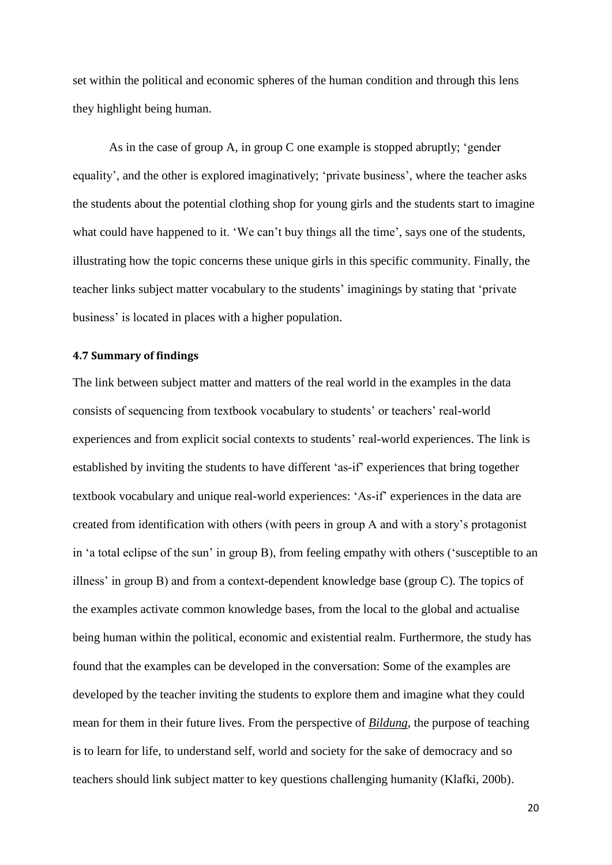set within the political and economic spheres of the human condition and through this lens they highlight being human.

As in the case of group A, in group C one example is stopped abruptly; 'gender equality', and the other is explored imaginatively; 'private business', where the teacher asks the students about the potential clothing shop for young girls and the students start to imagine what could have happened to it. 'We can't buy things all the time', says one of the students, illustrating how the topic concerns these unique girls in this specific community. Finally, the teacher links subject matter vocabulary to the students' imaginings by stating that 'private business' is located in places with a higher population.

## **4.7 Summary of findings**

The link between subject matter and matters of the real world in the examples in the data consists of sequencing from textbook vocabulary to students' or teachers' real-world experiences and from explicit social contexts to students' real-world experiences. The link is established by inviting the students to have different 'as-if' experiences that bring together textbook vocabulary and unique real-world experiences: 'As-if' experiences in the data are created from identification with others (with peers in group A and with a story's protagonist in 'a total eclipse of the sun' in group B), from feeling empathy with others ('susceptible to an illness' in group B) and from a context-dependent knowledge base (group C). The topics of the examples activate common knowledge bases, from the local to the global and actualise being human within the political, economic and existential realm. Furthermore, the study has found that the examples can be developed in the conversation: Some of the examples are developed by the teacher inviting the students to explore them and imagine what they could mean for them in their future lives. From the perspective of *Bildung*, the purpose of teaching is to learn for life, to understand self, world and society for the sake of democracy and so teachers should link subject matter to key questions challenging humanity (Klafki, 200b).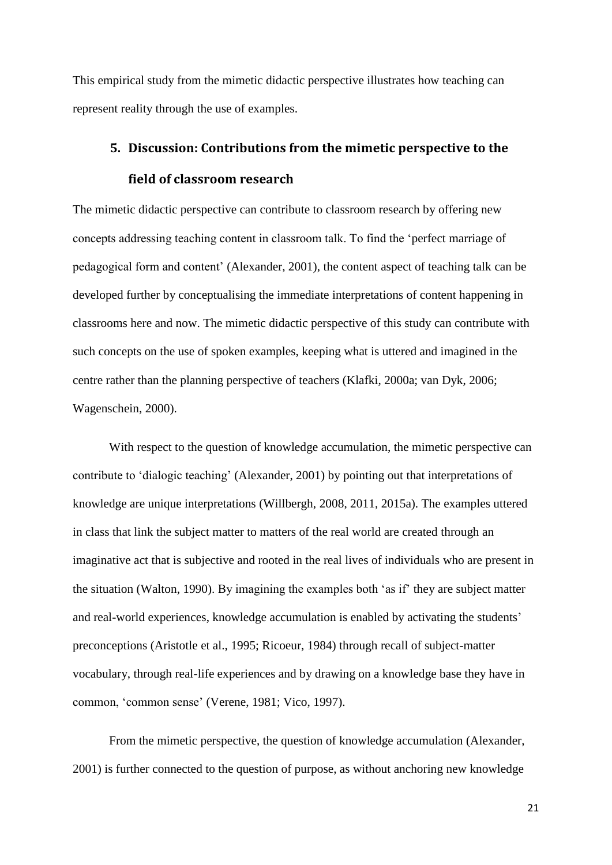This empirical study from the mimetic didactic perspective illustrates how teaching can represent reality through the use of examples.

# **5. Discussion: Contributions from the mimetic perspective to the field of classroom research**

The mimetic didactic perspective can contribute to classroom research by offering new concepts addressing teaching content in classroom talk. To find the 'perfect marriage of pedagogical form and content' (Alexander, 2001), the content aspect of teaching talk can be developed further by conceptualising the immediate interpretations of content happening in classrooms here and now. The mimetic didactic perspective of this study can contribute with such concepts on the use of spoken examples, keeping what is uttered and imagined in the centre rather than the planning perspective of teachers (Klafki, 2000a; van Dyk, 2006; Wagenschein, 2000).

With respect to the question of knowledge accumulation, the mimetic perspective can contribute to 'dialogic teaching' (Alexander, 2001) by pointing out that interpretations of knowledge are unique interpretations (Willbergh, 2008, 2011, 2015a). The examples uttered in class that link the subject matter to matters of the real world are created through an imaginative act that is subjective and rooted in the real lives of individuals who are present in the situation (Walton, 1990). By imagining the examples both 'as if' they are subject matter and real-world experiences, knowledge accumulation is enabled by activating the students' preconceptions (Aristotle et al., 1995; Ricoeur, 1984) through recall of subject-matter vocabulary, through real-life experiences and by drawing on a knowledge base they have in common, 'common sense' (Verene, 1981; Vico, 1997).

From the mimetic perspective, the question of knowledge accumulation (Alexander, 2001) is further connected to the question of purpose, as without anchoring new knowledge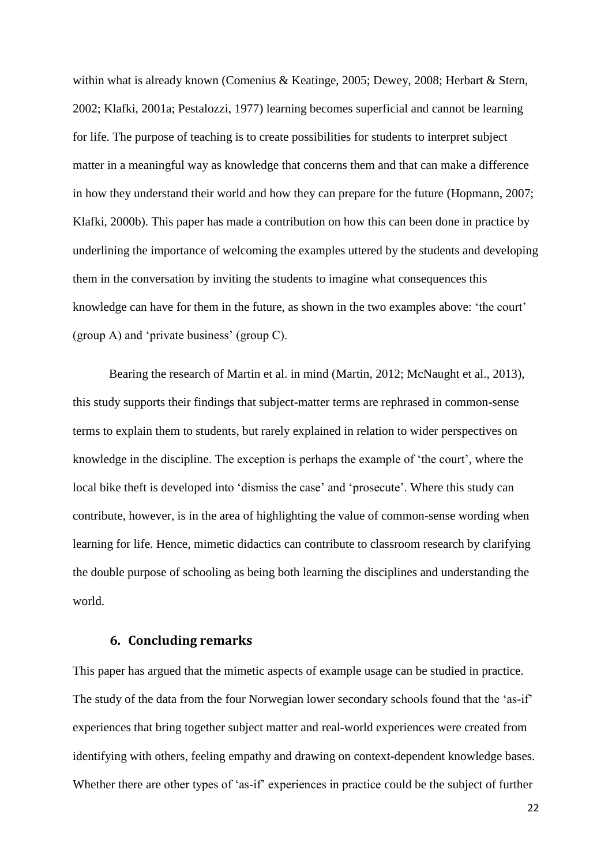within what is already known (Comenius & Keatinge, 2005; Dewey, 2008; Herbart & Stern, 2002; Klafki, 2001a; Pestalozzi, 1977) learning becomes superficial and cannot be learning for life. The purpose of teaching is to create possibilities for students to interpret subject matter in a meaningful way as knowledge that concerns them and that can make a difference in how they understand their world and how they can prepare for the future (Hopmann, 2007; Klafki, 2000b). This paper has made a contribution on how this can been done in practice by underlining the importance of welcoming the examples uttered by the students and developing them in the conversation by inviting the students to imagine what consequences this knowledge can have for them in the future, as shown in the two examples above: 'the court' (group A) and 'private business' (group C).

Bearing the research of Martin et al. in mind [\(Martin, 2012;](#page-25-0) [McNaught et al., 2013\)](#page-25-1), this study supports their findings that subject-matter terms are rephrased in common-sense terms to explain them to students, but rarely explained in relation to wider perspectives on knowledge in the discipline. The exception is perhaps the example of 'the court', where the local bike theft is developed into 'dismiss the case' and 'prosecute'. Where this study can contribute, however, is in the area of highlighting the value of common-sense wording when learning for life. Hence, mimetic didactics can contribute to classroom research by clarifying the double purpose of schooling as being both learning the disciplines and understanding the world.

### **6. Concluding remarks**

This paper has argued that the mimetic aspects of example usage can be studied in practice. The study of the data from the four Norwegian lower secondary schools found that the 'as-if' experiences that bring together subject matter and real-world experiences were created from identifying with others, feeling empathy and drawing on context-dependent knowledge bases. Whether there are other types of 'as-if' experiences in practice could be the subject of further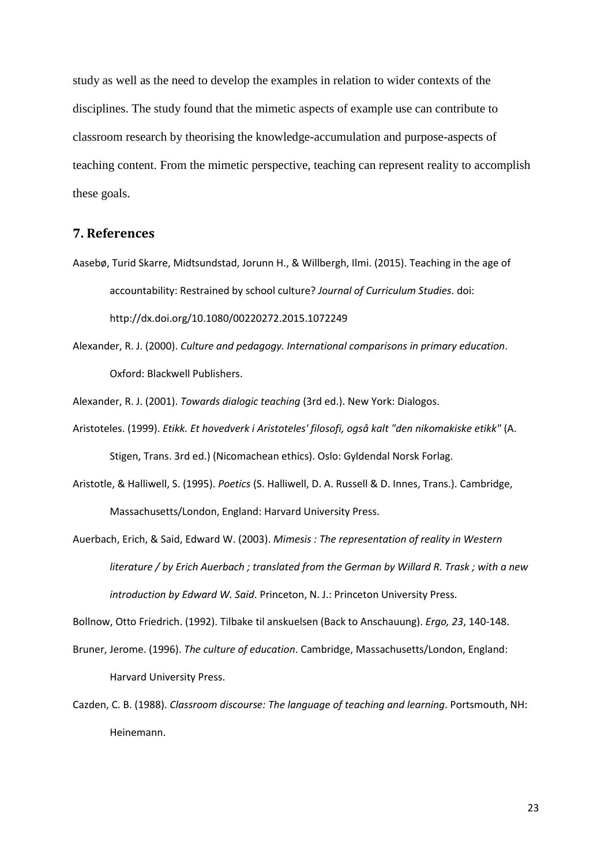study as well as the need to develop the examples in relation to wider contexts of the disciplines. The study found that the mimetic aspects of example use can contribute to classroom research by theorising the knowledge-accumulation and purpose-aspects of teaching content. From the mimetic perspective, teaching can represent reality to accomplish these goals.

# **7. References**

- Aasebø, Turid Skarre, Midtsundstad, Jorunn H., & Willbergh, Ilmi. (2015). Teaching in the age of accountability: Restrained by school culture? *Journal of Curriculum Studies*. doi: http://dx.doi.org/10.1080/00220272.2015.1072249
- Alexander, R. J. (2000). *Culture and pedagogy. International comparisons in primary education*. Oxford: Blackwell Publishers.

Alexander, R. J. (2001). *Towards dialogic teaching* (3rd ed.). New York: Dialogos.

- Aristoteles. (1999). *Etikk. Et hovedverk i Aristoteles' filosofi, også kalt "den nikomakiske etikk"* (A. Stigen, Trans. 3rd ed.) (Nicomachean ethics). Oslo: Gyldendal Norsk Forlag.
- Aristotle, & Halliwell, S. (1995). *Poetics* (S. Halliwell, D. A. Russell & D. Innes, Trans.). Cambridge, Massachusetts/London, England: Harvard University Press.
- Auerbach, Erich, & Said, Edward W. (2003). *Mimesis : The representation of reality in Western literature / by Erich Auerbach ; translated from the German by Willard R. Trask ; with a new introduction by Edward W. Said*. Princeton, N. J.: Princeton University Press.

Bollnow, Otto Friedrich. (1992). Tilbake til anskuelsen (Back to Anschauung). *Ergo, 23*, 140-148.

- Bruner, Jerome. (1996). *The culture of education*. Cambridge, Massachusetts/London, England: Harvard University Press.
- Cazden, C. B. (1988). *Classroom discourse: The language of teaching and learning*. Portsmouth, NH: Heinemann.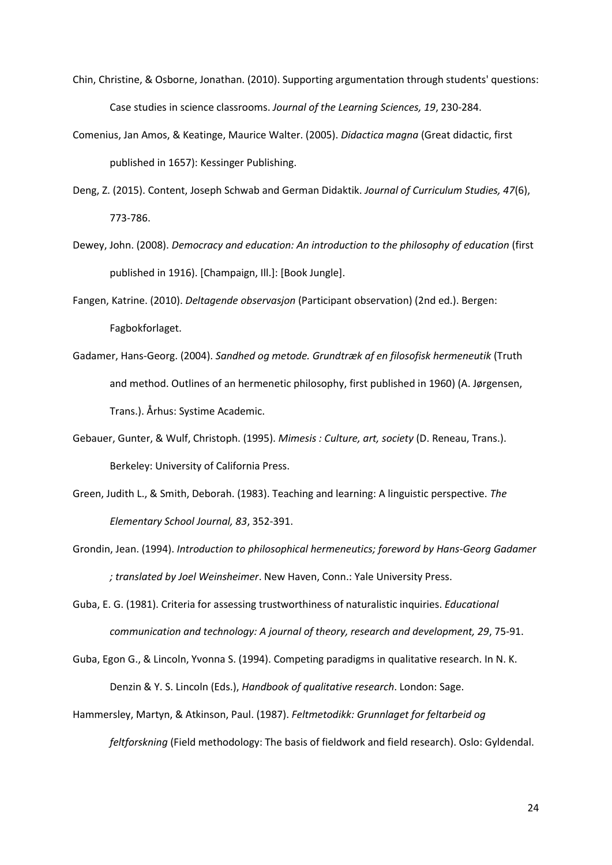- Chin, Christine, & Osborne, Jonathan. (2010). Supporting argumentation through students' questions: Case studies in science classrooms. *Journal of the Learning Sciences, 19*, 230-284.
- Comenius, Jan Amos, & Keatinge, Maurice Walter. (2005). *Didactica magna* (Great didactic, first published in 1657): Kessinger Publishing.
- Deng, Z. (2015). Content, Joseph Schwab and German Didaktik. *Journal of Curriculum Studies, 47*(6), 773-786.
- Dewey, John. (2008). *Democracy and education: An introduction to the philosophy of education* (first published in 1916). [Champaign, Ill.]: [Book Jungle].
- Fangen, Katrine. (2010). *Deltagende observasjon* (Participant observation) (2nd ed.). Bergen: Fagbokforlaget.
- Gadamer, Hans-Georg. (2004). *Sandhed og metode. Grundtræk af en filosofisk hermeneutik* (Truth and method. Outlines of an hermenetic philosophy, first published in 1960) (A. Jørgensen, Trans.). Århus: Systime Academic.
- Gebauer, Gunter, & Wulf, Christoph. (1995). *Mimesis : Culture, art, society* (D. Reneau, Trans.). Berkeley: University of California Press.
- Green, Judith L., & Smith, Deborah. (1983). Teaching and learning: A linguistic perspective. *The Elementary School Journal, 83*, 352-391.
- Grondin, Jean. (1994). *Introduction to philosophical hermeneutics; foreword by Hans-Georg Gadamer ; translated by Joel Weinsheimer*. New Haven, Conn.: Yale University Press.
- Guba, E. G. (1981). Criteria for assessing trustworthiness of naturalistic inquiries. *Educational communication and technology: A journal of theory, research and development, 29*, 75-91.
- Guba, Egon G., & Lincoln, Yvonna S. (1994). Competing paradigms in qualitative research. In N. K. Denzin & Y. S. Lincoln (Eds.), *Handbook of qualitative research*. London: Sage.
- Hammersley, Martyn, & Atkinson, Paul. (1987). *Feltmetodikk: Grunnlaget for feltarbeid og feltforskning* (Field methodology: The basis of fieldwork and field research). Oslo: Gyldendal.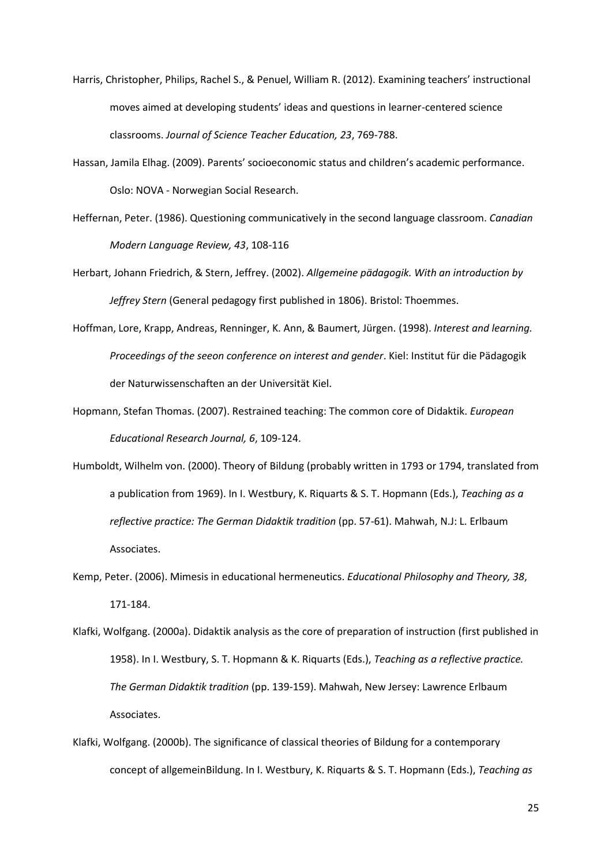- Harris, Christopher, Philips, Rachel S., & Penuel, William R. (2012). Examining teachers' instructional moves aimed at developing students' ideas and questions in learner-centered science classrooms. *Journal of Science Teacher Education, 23*, 769-788.
- Hassan, Jamila Elhag. (2009). Parents' socioeconomic status and children's academic performance. Oslo: NOVA - Norwegian Social Research.
- Heffernan, Peter. (1986). Questioning communicatively in the second language classroom. *Canadian Modern Language Review, 43*, 108-116
- Herbart, Johann Friedrich, & Stern, Jeffrey. (2002). *Allgemeine pädagogik. With an introduction by Jeffrey Stern* (General pedagogy first published in 1806). Bristol: Thoemmes.
- Hoffman, Lore, Krapp, Andreas, Renninger, K. Ann, & Baumert, Jürgen. (1998). *Interest and learning. Proceedings of the seeon conference on interest and gender*. Kiel: Institut für die Pädagogik der Naturwissenschaften an der Universität Kiel.
- Hopmann, Stefan Thomas. (2007). Restrained teaching: The common core of Didaktik. *European Educational Research Journal, 6*, 109-124.
- Humboldt, Wilhelm von. (2000). Theory of Bildung (probably written in 1793 or 1794, translated from a publication from 1969). In I. Westbury, K. Riquarts & S. T. Hopmann (Eds.), *Teaching as a reflective practice: The German Didaktik tradition* (pp. 57-61). Mahwah, N.J: L. Erlbaum Associates.
- Kemp, Peter. (2006). Mimesis in educational hermeneutics. *Educational Philosophy and Theory, 38*, 171-184.
- Klafki, Wolfgang. (2000a). Didaktik analysis as the core of preparation of instruction (first published in 1958). In I. Westbury, S. T. Hopmann & K. Riquarts (Eds.), *Teaching as a reflective practice. The German Didaktik tradition* (pp. 139-159). Mahwah, New Jersey: Lawrence Erlbaum Associates.
- Klafki, Wolfgang. (2000b). The significance of classical theories of Bildung for a contemporary concept of allgemeinBildung. In I. Westbury, K. Riquarts & S. T. Hopmann (Eds.), *Teaching as*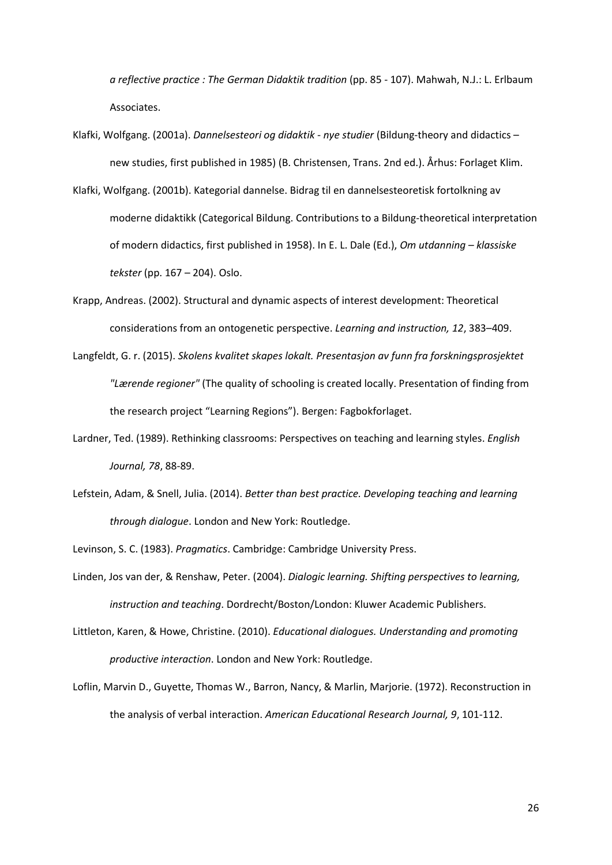*a reflective practice : The German Didaktik tradition* (pp. 85 - 107). Mahwah, N.J.: L. Erlbaum Associates.

- Klafki, Wolfgang. (2001a). *Dannelsesteori og didaktik - nye studier* (Bildung-theory and didactics new studies, first published in 1985) (B. Christensen, Trans. 2nd ed.). Århus: Forlaget Klim.
- Klafki, Wolfgang. (2001b). Kategorial dannelse. Bidrag til en dannelsesteoretisk fortolkning av moderne didaktikk (Categorical Bildung. Contributions to a Bildung-theoretical interpretation of modern didactics, first published in 1958). In E. L. Dale (Ed.), *Om utdanning – klassiske tekster* (pp. 167 – 204). Oslo.
- Krapp, Andreas. (2002). Structural and dynamic aspects of interest development: Theoretical considerations from an ontogenetic perspective. *Learning and instruction, 12*, 383–409.
- Langfeldt, G. r. (2015). *Skolens kvalitet skapes lokalt. Presentasjon av funn fra forskningsprosjektet "Lærende regioner"* (The quality of schooling is created locally. Presentation of finding from the research project "Learning Regions"). Bergen: Fagbokforlaget.
- <span id="page-25-0"></span>Lardner, Ted. (1989). Rethinking classrooms: Perspectives on teaching and learning styles. *English Journal, 78*, 88-89.
- <span id="page-25-1"></span>Lefstein, Adam, & Snell, Julia. (2014). *Better than best practice. Developing teaching and learning through dialogue*. London and New York: Routledge.
- Levinson, S. C. (1983). *Pragmatics*. Cambridge: Cambridge University Press.
- Linden, Jos van der, & Renshaw, Peter. (2004). *Dialogic learning. Shifting perspectives to learning, instruction and teaching*. Dordrecht/Boston/London: Kluwer Academic Publishers.
- Littleton, Karen, & Howe, Christine. (2010). *Educational dialogues. Understanding and promoting productive interaction*. London and New York: Routledge.
- Loflin, Marvin D., Guyette, Thomas W., Barron, Nancy, & Marlin, Marjorie. (1972). Reconstruction in the analysis of verbal interaction. *American Educational Research Journal, 9*, 101-112.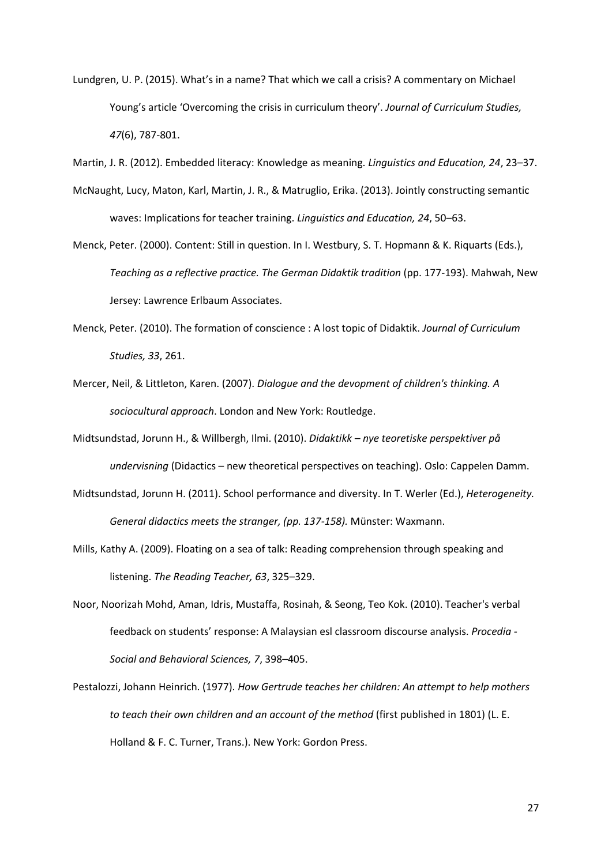- Lundgren, U. P. (2015). What's in a name? That which we call a crisis? A commentary on Michael Young's article 'Overcoming the crisis in curriculum theory'. *Journal of Curriculum Studies, 47*(6), 787-801.
- <span id="page-26-0"></span>Martin, J. R. (2012). Embedded literacy: Knowledge as meaning. *Linguistics and Education, 24*, 23–37.
- <span id="page-26-1"></span>McNaught, Lucy, Maton, Karl, Martin, J. R., & Matruglio, Erika. (2013). Jointly constructing semantic waves: Implications for teacher training. *Linguistics and Education, 24*, 50–63.
- Menck, Peter. (2000). Content: Still in question. In I. Westbury, S. T. Hopmann & K. Riquarts (Eds.), *Teaching as a reflective practice. The German Didaktik tradition* (pp. 177-193). Mahwah, New Jersey: Lawrence Erlbaum Associates.
- Menck, Peter. (2010). The formation of conscience : A lost topic of Didaktik. *Journal of Curriculum Studies, 33*, 261.
- Mercer, Neil, & Littleton, Karen. (2007). *Dialogue and the devopment of children's thinking. A sociocultural approach*. London and New York: Routledge.
- Midtsundstad, Jorunn H., & Willbergh, Ilmi. (2010). *Didaktikk – nye teoretiske perspektiver på undervisning* (Didactics – new theoretical perspectives on teaching). Oslo: Cappelen Damm.
- Midtsundstad, Jorunn H. (2011). School performance and diversity. In T. Werler (Ed.), *Heterogeneity. General didactics meets the stranger, (pp. 137-158).* Münster: Waxmann.
- Mills, Kathy A. (2009). Floating on a sea of talk: Reading comprehension through speaking and listening. *The Reading Teacher, 63*, 325–329.
- Noor, Noorizah Mohd, Aman, Idris, Mustaffa, Rosinah, & Seong, Teo Kok. (2010). Teacher's verbal feedback on students' response: A Malaysian esl classroom discourse analysis. *Procedia - Social and Behavioral Sciences, 7*, 398–405.
- Pestalozzi, Johann Heinrich. (1977). *How Gertrude teaches her children: An attempt to help mothers to teach their own children and an account of the method* (first published in 1801) (L. E. Holland & F. C. Turner, Trans.). New York: Gordon Press.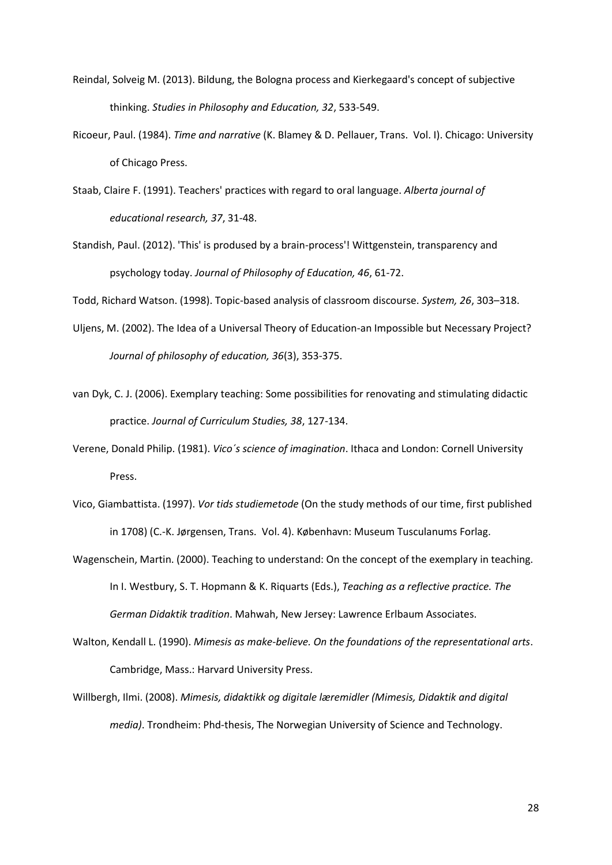- Reindal, Solveig M. (2013). Bildung, the Bologna process and Kierkegaard's concept of subjective thinking. *Studies in Philosophy and Education, 32*, 533-549.
- Ricoeur, Paul. (1984). *Time and narrative* (K. Blamey & D. Pellauer, Trans. Vol. I). Chicago: University of Chicago Press.
- Staab, Claire F. (1991). Teachers' practices with regard to oral language. *Alberta journal of educational research, 37*, 31-48.
- Standish, Paul. (2012). 'This' is prodused by a brain-process'! Wittgenstein, transparency and psychology today. *Journal of Philosophy of Education, 46*, 61-72.

Todd, Richard Watson. (1998). Topic-based analysis of classroom discourse. *System, 26*, 303–318.

- Uljens, M. (2002). The Idea of a Universal Theory of Education-an Impossible but Necessary Project? *Journal of philosophy of education, 36*(3), 353-375.
- van Dyk, C. J. (2006). Exemplary teaching: Some possibilities for renovating and stimulating didactic practice. *Journal of Curriculum Studies, 38*, 127-134.
- Verene, Donald Philip. (1981). *Vico´s science of imagination*. Ithaca and London: Cornell University Press.
- Vico, Giambattista. (1997). *Vor tids studiemetode* (On the study methods of our time, first published in 1708) (C.-K. Jørgensen, Trans. Vol. 4). København: Museum Tusculanums Forlag.
- Wagenschein, Martin. (2000). Teaching to understand: On the concept of the exemplary in teaching. In I. Westbury, S. T. Hopmann & K. Riquarts (Eds.), *Teaching as a reflective practice. The German Didaktik tradition*. Mahwah, New Jersey: Lawrence Erlbaum Associates.
- Walton, Kendall L. (1990). *Mimesis as make-believe. On the foundations of the representational arts*. Cambridge, Mass.: Harvard University Press.
- Willbergh, Ilmi. (2008). *Mimesis, didaktikk og digitale læremidler (Mimesis, Didaktik and digital media)*. Trondheim: Phd-thesis, The Norwegian University of Science and Technology.